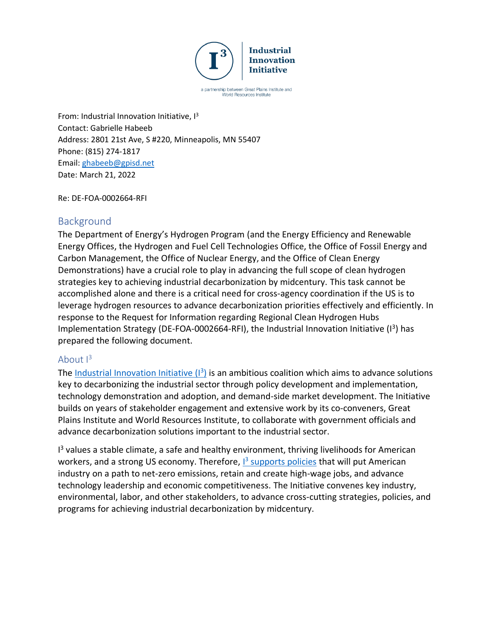

a partnership between Great Plains Institute and World Resources Institute

From: Industrial Innovation Initiative, I<sup>3</sup> Contact: Gabrielle Habeeb Address: 2801 21st Ave, S #220, Minneapolis, MN 55407 Phone: (815) 274-1817 Email: [ghabeeb@gpisd.net](mailto:ghabeeb@gpisd.net) Date: March 21, 2022

Re: DE-FOA-0002664-RFI

# **Background**

The Department of Energy's Hydrogen Program (and the Energy Efficiency and Renewable Energy Offices, the Hydrogen and Fuel Cell Technologies Office, the Office of Fossil Energy and Carbon Management, the Office of Nuclear Energy, and the Office of Clean Energy Demonstrations) have a crucial role to play in advancing the full scope of clean hydrogen strategies key to achieving industrial decarbonization by midcentury. This task cannot be accomplished alone and there is a critical need for cross-agency coordination if the US is to leverage hydrogen resources to advance decarbonization priorities effectively and efficiently. In response to the Request for Information regarding Regional Clean Hydrogen Hubs Implementation Strategy (DE-FOA-0002664-RFI), the Industrial Innovation Initiative ( $I<sup>3</sup>$ ) has prepared the following document.

# About  $I^3$

The **Industrial Innovation Initiative (1<sup>3</sup>)** is an ambitious coalition which aims to advance solutions key to decarbonizing the industrial sector through policy development and implementation, technology demonstration and adoption, and demand-side market development. The Initiative builds on years of stakeholder engagement and extensive work by its co-conveners, Great Plains Institute and World Resources Institute, to collaborate with government officials and advance decarbonization solutions important to the industrial sector.

<sup>13</sup> values a stable climate, a safe and healthy environment, thriving livelihoods for American workers, and a strong US economy. Therefore, **I**<sup>3</sup> [supports policies](http://www.industrialinnovation.org/blueprint) that will put American industry on a path to net-zero emissions, retain and create high-wage jobs, and advance technology leadership and economic competitiveness. The Initiative convenes key industry, environmental, labor, and other stakeholders, to advance cross-cutting strategies, policies, and programs for achieving industrial decarbonization by midcentury.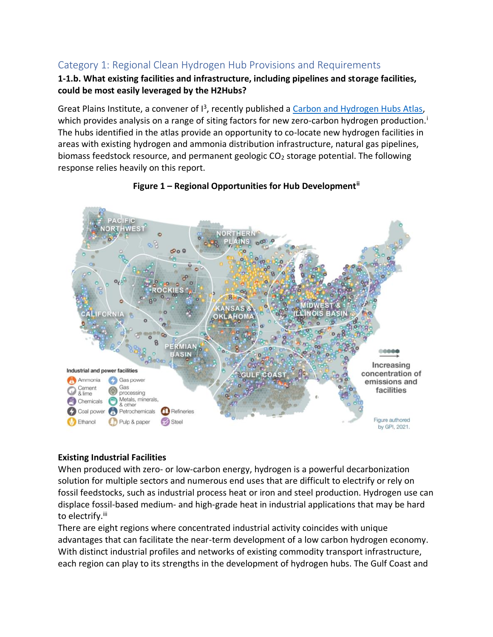# Category 1: Regional Clean Hydrogen Hub Provisions and Requirements

### **1-1.b. What existing facilities and infrastructure, including pipelines and storage facilities, could be most easily leveraged by the H2Hubs?**

Great Plains Institute, a convener of  $I^3$ , recently published [a Carbon and Hydrogen Hubs Atlas,](https://carboncaptureready.org/) which provides analysis on a range of siting factors for new zero-carbon hydrogen production.<sup>i</sup> The hubs identified in the atlas provide an opportunity to co-locate new hydrogen facilities in areas with existing hydrogen and ammonia distribution infrastructure, natural gas pipelines, biomass feedstock resource, and permanent geologic  $CO<sub>2</sub>$  storage potential. The following response relies heavily on this report.



# **Figure 1 – Regional Opportunities for Hub Developmentii**

# **Existing Industrial Facilities**

When produced with zero- or low-carbon energy, hydrogen is a powerful decarbonization solution for multiple sectors and numerous end uses that are difficult to electrify or rely on fossil feedstocks, such as industrial process heat or iron and steel production. Hydrogen use can displace fossil-based medium- and high-grade heat in industrial applications that may be hard to electrify.<sup>iii</sup>

There are eight regions where concentrated industrial activity coincides with unique advantages that can facilitate the near-term development of a low carbon hydrogen economy. With distinct industrial profiles and networks of existing commodity transport infrastructure, each region can play to its strengths in the development of hydrogen hubs. The Gulf Coast and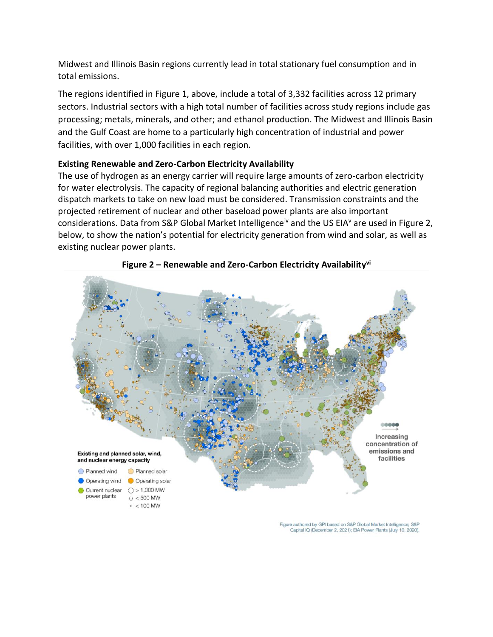Midwest and Illinois Basin regions currently lead in total stationary fuel consumption and in total emissions.

The regions identified in Figure 1, above, include a total of 3,332 facilities across 12 primary sectors. Industrial sectors with a high total number of facilities across study regions include gas processing; metals, minerals, and other; and ethanol production. The Midwest and Illinois Basin and the Gulf Coast are home to a particularly high concentration of industrial and power facilities, with over 1,000 facilities in each region.

# **Existing Renewable and Zero-Carbon Electricity Availability**

The use of hydrogen as an energy carrier will require large amounts of zero-carbon electricity for water electrolysis. The capacity of regional balancing authorities and electric generation dispatch markets to take on new load must be considered. Transmission constraints and the projected retirement of nuclear and other baseload power plants are also important considerations. Data from S&P Global Market Intelligence<sup>iv</sup> and the US EIA<sup>V</sup> are used in Figure 2, below, to show the nation's potential for electricity generation from wind and solar, as well as existing nuclear power plants.



# **Figure 2 – Renewable and Zero-Carbon Electricity Availabilityvi**

Figure authored by GPI based on S&P Global Market Intelligence; S&P Capital IQ (December 2, 2021); EIA Power Plants (July 10, 2020).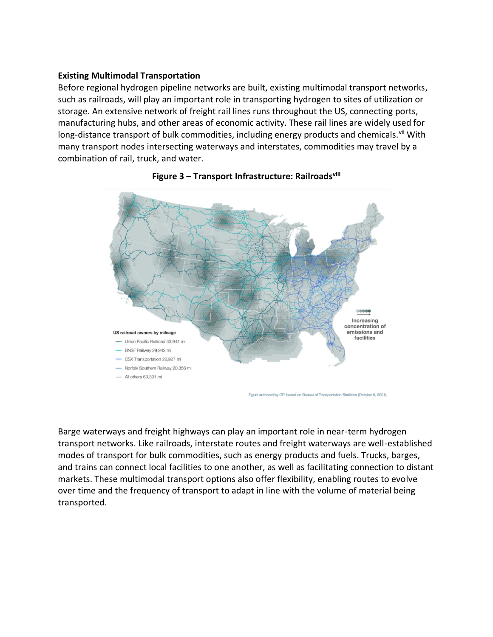#### **Existing Multimodal Transportation**

Before regional hydrogen pipeline networks are built, existing multimodal transport networks, such as railroads, will play an important role in transporting hydrogen to sites of utilization or storage. An extensive network of freight rail lines runs throughout the US, connecting ports, manufacturing hubs, and other areas of economic activity. These rail lines are widely used for long-distance transport of bulk commodities, including energy products and chemicals.<sup>vii</sup> With many transport nodes intersecting waterways and interstates, commodities may travel by a combination of rail, truck, and water.



#### **Figure 3 – Transport Infrastructure: Railroadsviii**

Figure authored by GPI based on Bureau of Transportation Statistics (October 6, 2021).

Barge waterways and freight highways can play an important role in near-term hydrogen transport networks. Like railroads, interstate routes and freight waterways are well-established modes of transport for bulk commodities, such as energy products and fuels. Trucks, barges, and trains can connect local facilities to one another, as well as facilitating connection to distant markets. These multimodal transport options also offer flexibility, enabling routes to evolve over time and the frequency of transport to adapt in line with the volume of material being transported.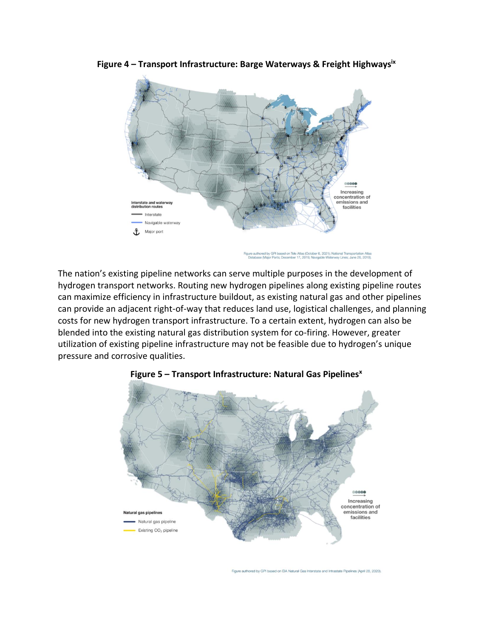

**Figure 4 – Transport Infrastructure: Barge Waterways & Freight Highwaysix**

red by GPI based on Tele Atlas (October 6, 2021); National Transportation Atlas<br>(Major Ports; December 17, 2019; Navigable Waterway Lines; June 26, 2019).

The nation's existing pipeline networks can serve multiple purposes in the development of hydrogen transport networks. Routing new hydrogen pipelines along existing pipeline routes can maximize efficiency in infrastructure buildout, as existing natural gas and other pipelines can provide an adjacent right-of-way that reduces land use, logistical challenges, and planning costs for new hydrogen transport infrastructure. To a certain extent, hydrogen can also be blended into the existing natural gas distribution system for co-firing. However, greater utilization of existing pipeline infrastructure may not be feasible due to hydrogen's unique pressure and corrosive qualities.



#### **Figure 5 – Transport Infrastructure: Natural Gas Pipelines<sup>x</sup>**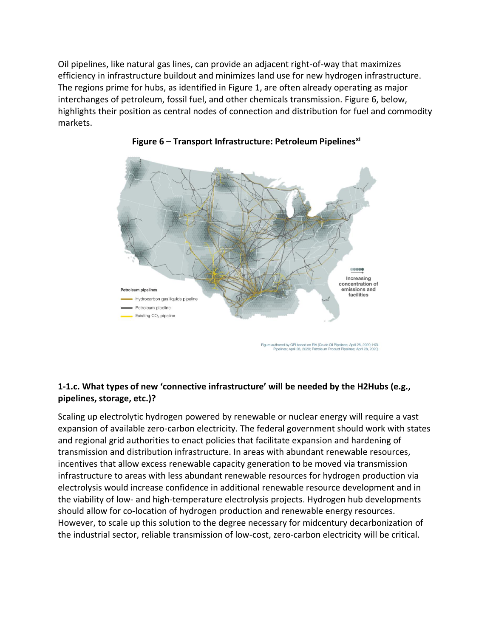Oil pipelines, like natural gas lines, can provide an adjacent right-of-way that maximizes efficiency in infrastructure buildout and minimizes land use for new hydrogen infrastructure. The regions prime for hubs, as identified in Figure 1, are often already operating as major interchanges of petroleum, fossil fuel, and other chemicals transmission. Figure 6, below, highlights their position as central nodes of connection and distribution for fuel and commodity markets.





# **1-1.c. What types of new 'connective infrastructure' will be needed by the H2Hubs (e.g., pipelines, storage, etc.)?**

Scaling up electrolytic hydrogen powered by renewable or nuclear energy will require a vast expansion of available zero-carbon electricity. The federal government should work with states and regional grid authorities to enact policies that facilitate expansion and hardening of transmission and distribution infrastructure. In areas with abundant renewable resources, incentives that allow excess renewable capacity generation to be moved via transmission infrastructure to areas with less abundant renewable resources for hydrogen production via electrolysis would increase confidence in additional renewable resource development and in the viability of low- and high-temperature electrolysis projects. Hydrogen hub developments should allow for co-location of hydrogen production and renewable energy resources. However, to scale up this solution to the degree necessary for midcentury decarbonization of the industrial sector, reliable transmission of low-cost, zero-carbon electricity will be critical.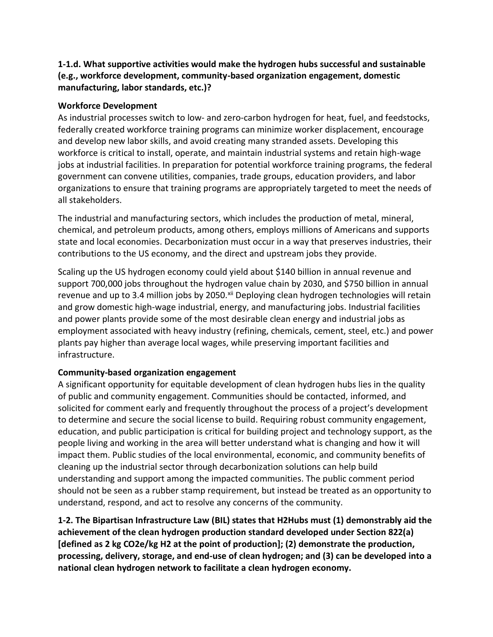# **1-1.d. What supportive activities would make the hydrogen hubs successful and sustainable (e.g., workforce development, community-based organization engagement, domestic manufacturing, labor standards, etc.)?**

### **Workforce Development**

As industrial processes switch to low- and zero-carbon hydrogen for heat, fuel, and feedstocks, federally created workforce training programs can minimize worker displacement, encourage and develop new labor skills, and avoid creating many stranded assets. Developing this workforce is critical to install, operate, and maintain industrial systems and retain high-wage jobs at industrial facilities. In preparation for potential workforce training programs, the federal government can convene utilities, companies, trade groups, education providers, and labor organizations to ensure that training programs are appropriately targeted to meet the needs of all stakeholders.

The industrial and manufacturing sectors, which includes the production of metal, mineral, chemical, and petroleum products, among others, employs millions of Americans and supports state and local economies. Decarbonization must occur in a way that preserves industries, their contributions to the US economy, and the direct and upstream jobs they provide.

Scaling up the US hydrogen economy could yield about \$140 billion in annual revenue and support 700,000 jobs throughout the hydrogen value chain by 2030, and \$750 billion in annual revenue and up to 3.4 million jobs by 2050. Xii Deploying clean hydrogen technologies will retain and grow domestic high-wage industrial, energy, and manufacturing jobs. Industrial facilities and power plants provide some of the most desirable clean energy and industrial jobs as employment associated with heavy industry (refining, chemicals, cement, steel, etc.) and power plants pay higher than average local wages, while preserving important facilities and infrastructure.

# **Community-based organization engagement**

A significant opportunity for equitable development of clean hydrogen hubs lies in the quality of public and community engagement. Communities should be contacted, informed, and solicited for comment early and frequently throughout the process of a project's development to determine and secure the social license to build. Requiring robust community engagement, education, and public participation is critical for building project and technology support, as the people living and working in the area will better understand what is changing and how it will impact them. Public studies of the local environmental, economic, and community benefits of cleaning up the industrial sector through decarbonization solutions can help build understanding and support among the impacted communities. The public comment period should not be seen as a rubber stamp requirement, but instead be treated as an opportunity to understand, respond, and act to resolve any concerns of the community.

**1-2. The Bipartisan Infrastructure Law (BIL) states that H2Hubs must (1) demonstrably aid the achievement of the clean hydrogen production standard developed under Section 822(a) [defined as 2 kg CO2e/kg H2 at the point of production]; (2) demonstrate the production, processing, delivery, storage, and end-use of clean hydrogen; and (3) can be developed into a national clean hydrogen network to facilitate a clean hydrogen economy.**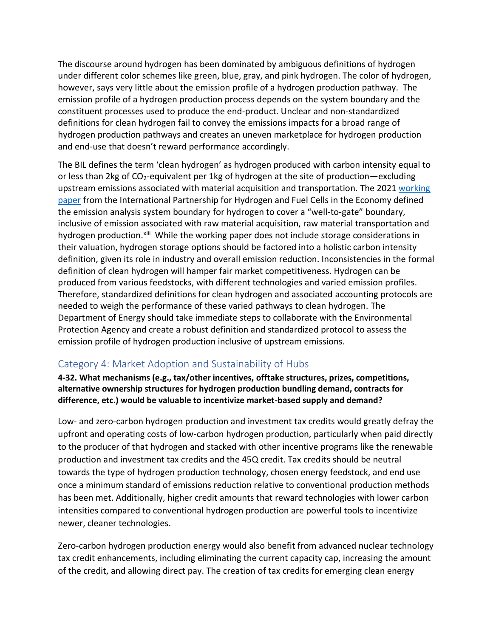The discourse around hydrogen has been dominated by ambiguous definitions of hydrogen under different color schemes like green, blue, gray, and pink hydrogen. The color of hydrogen, however, says very little about the emission profile of a hydrogen production pathway. The emission profile of a hydrogen production process depends on the system boundary and the constituent processes used to produce the end-product. Unclear and non-standardized definitions for clean hydrogen fail to convey the emissions impacts for a broad range of hydrogen production pathways and creates an uneven marketplace for hydrogen production and end-use that doesn't reward performance accordingly.

The BIL defines the term 'clean hydrogen' as hydrogen produced with carbon intensity equal to or less than 2kg of CO<sub>2</sub>-equivalent per 1kg of hydrogen at the site of production—excluding upstream emissions associated with material acquisition and transportation. The 2021 [working](https://www.iphe.net/iphe-working-paper-methodology-doc-oct-2021)  [paper](https://www.iphe.net/iphe-working-paper-methodology-doc-oct-2021) from the International Partnership for Hydrogen and Fuel Cells in the Economy defined the emission analysis system boundary for hydrogen to cover a "well-to-gate" boundary, inclusive of emission associated with raw material acquisition, raw material transportation and hydrogen production.<sup>xiii</sup> While the working paper does not include storage considerations in their valuation, hydrogen storage options should be factored into a holistic carbon intensity definition, given its role in industry and overall emission reduction. Inconsistencies in the formal definition of clean hydrogen will hamper fair market competitiveness. Hydrogen can be produced from various feedstocks, with different technologies and varied emission profiles. Therefore, standardized definitions for clean hydrogen and associated accounting protocols are needed to weigh the performance of these varied pathways to clean hydrogen. The Department of Energy should take immediate steps to collaborate with the Environmental Protection Agency and create a robust definition and standardized protocol to assess the emission profile of hydrogen production inclusive of upstream emissions.

# Category 4: Market Adoption and Sustainability of Hubs

**4-32. What mechanisms (e.g., tax/other incentives, offtake structures, prizes, competitions, alternative ownership structures for hydrogen production bundling demand, contracts for difference, etc.) would be valuable to incentivize market-based supply and demand?** 

Low- and zero-carbon hydrogen production and investment tax credits would greatly defray the upfront and operating costs of low-carbon hydrogen production, particularly when paid directly to the producer of that hydrogen and stacked with other incentive programs like the renewable production and investment tax credits and the 45Q credit. Tax credits should be neutral towards the type of hydrogen production technology, chosen energy feedstock, and end use once a minimum standard of emissions reduction relative to conventional production methods has been met. Additionally, higher credit amounts that reward technologies with lower carbon intensities compared to conventional hydrogen production are powerful tools to incentivize newer, cleaner technologies.

Zero-carbon hydrogen production energy would also benefit from advanced nuclear technology tax credit enhancements, including eliminating the current capacity cap, increasing the amount of the credit, and allowing direct pay. The creation of tax credits for emerging clean energy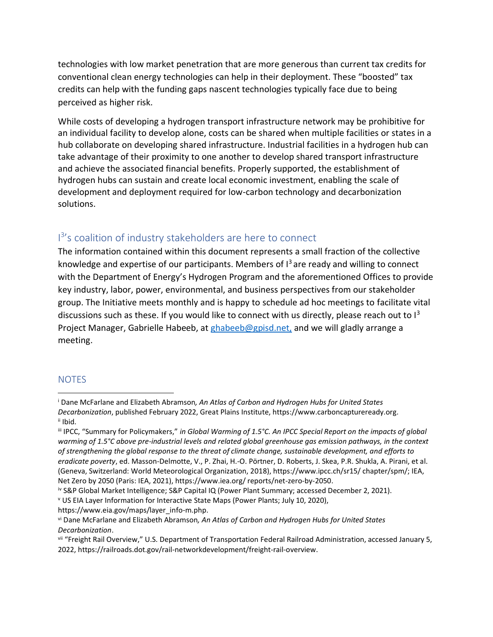technologies with low market penetration that are more generous than current tax credits for conventional clean energy technologies can help in their deployment. These "boosted" tax credits can help with the funding gaps nascent technologies typically face due to being perceived as higher risk.

While costs of developing a hydrogen transport infrastructure network may be prohibitive for an individual facility to develop alone, costs can be shared when multiple facilities or states in a hub collaborate on developing shared infrastructure. Industrial facilities in a hydrogen hub can take advantage of their proximity to one another to develop shared transport infrastructure and achieve the associated financial benefits. Properly supported, the establishment of hydrogen hubs can sustain and create local economic investment, enabling the scale of development and deployment required for low-carbon technology and decarbonization solutions.

# I<sup>3</sup>'s coalition of industry stakeholders are here to connect

The information contained within this document represents a small fraction of the collective knowledge and expertise of our participants. Members of  $I<sup>3</sup>$  are ready and willing to connect with the Department of Energy's Hydrogen Program and the aforementioned Offices to provide key industry, labor, power, environmental, and business perspectives from our stakeholder group. The Initiative meets monthly and is happy to schedule ad hoc meetings to facilitate vital discussions such as these. If you would like to connect with us directly, please reach out to  $1^3$ Project Manager, Gabrielle Habeeb, at [ghabeeb@gpisd.net,](mailto:ghabeeb@gpisd.net) and we will gladly arrange a meeting.

# **NOTES**

<sup>v</sup> US EIA Layer Information for Interactive State Maps (Power Plants; July 10, 2020), https://www.eia.gov/maps/layer\_info-m.php.

<sup>i</sup> Dane McFarlane and Elizabeth Abramson*, An Atlas of Carbon and Hydrogen Hubs for United States Decarbonization*, published February 2022, Great Plains Institute, https://www.carboncaptureready.org. ii Ibid.

iii IPCC, "Summary for Policymakers," *in Global Warming of 1.5°C. An IPCC Special Report on the impacts of global warming of 1.5°C above pre-industrial levels and related global greenhouse gas emission pathways, in the context of strengthening the global response to the threat of climate change, sustainable development, and efforts to eradicate poverty*, ed. Masson-Delmotte, V., P. Zhai, H.-O. Pörtner, D. Roberts, J. Skea, P.R. Shukla, A. Pirani, et al. (Geneva, Switzerland: World Meteorological Organization, 2018), https://www.ipcc.ch/sr15/ chapter/spm/; IEA, Net Zero by 2050 (Paris: IEA, 2021), https://www.iea.org/ reports/net-zero-by-2050.

iv S&P Global Market Intelligence; S&P Capital IQ (Power Plant Summary; accessed December 2, 2021).

vi Dane McFarlane and Elizabeth Abramson*, An Atlas of Carbon and Hydrogen Hubs for United States Decarbonization*.

vii "Freight Rail Overview," U.S. Department of Transportation Federal Railroad Administration, accessed January 5, 2022, https://railroads.dot.gov/rail-networkdevelopment/freight-rail-overview.